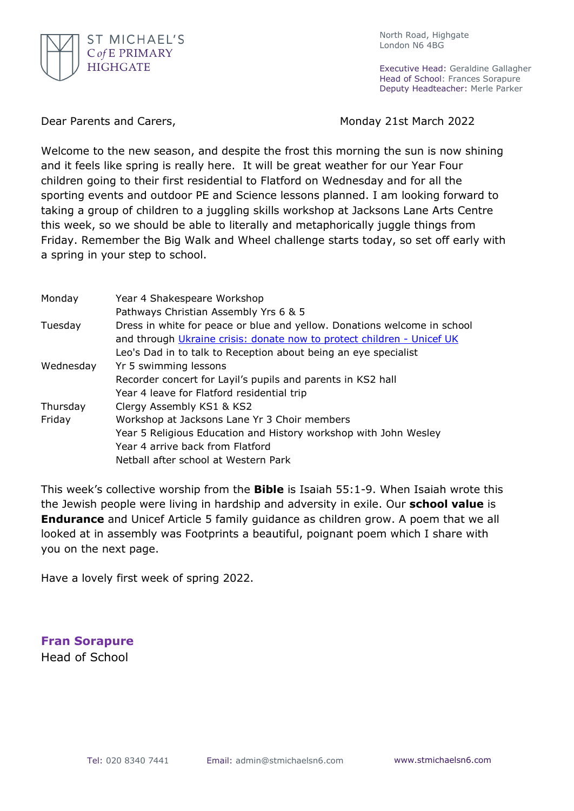

North Road, Highgate London N6 4BG

Executive Head: Geraldine Gallagher Head of School: Frances Sorapure Deputy Headteacher: Merle Parker

Dear Parents and Carers, Monday 21st March 2022

Welcome to the new season, and despite the frost this morning the sun is now shining and it feels like spring is really here. It will be great weather for our Year Four children going to their first residential to Flatford on Wednesday and for all the sporting events and outdoor PE and Science lessons planned. I am looking forward to taking a group of children to a juggling skills workshop at Jacksons Lane Arts Centre this week, so we should be able to literally and metaphorically juggle things from Friday. Remember the Big Walk and Wheel challenge starts today, so set off early with a spring in your step to school.

| Monday    | Year 4 Shakespeare Workshop                                              |
|-----------|--------------------------------------------------------------------------|
|           | Pathways Christian Assembly Yrs 6 & 5                                    |
| Tuesday   | Dress in white for peace or blue and yellow. Donations welcome in school |
|           | and through Ukraine crisis: donate now to protect children - Unicef UK   |
|           | Leo's Dad in to talk to Reception about being an eye specialist          |
| Wednesday | Yr 5 swimming lessons                                                    |
|           | Recorder concert for Layil's pupils and parents in KS2 hall              |
|           | Year 4 leave for Flatford residential trip                               |
| Thursday  | Clergy Assembly KS1 & KS2                                                |
| Friday    | Workshop at Jacksons Lane Yr 3 Choir members                             |
|           | Year 5 Religious Education and History workshop with John Wesley         |
|           | Year 4 arrive back from Flatford                                         |
|           | Netball after school at Western Park                                     |

This week's collective worship from the **Bible** is Isaiah 55:1-9. When Isaiah wrote this the Jewish people were living in hardship and adversity in exile. Our **school value** is **Endurance** and Unicef Article 5 family guidance as children grow. A poem that we all looked at in assembly was Footprints a beautiful, poignant poem which I share with you on the next page.

Have a lovely first week of spring 2022.

**Fran Sorapure** Head of School